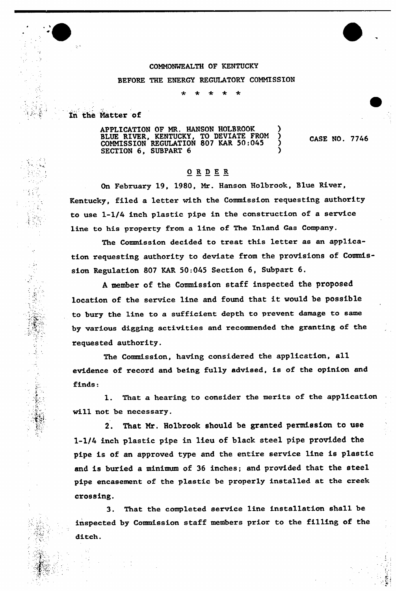## COMMONWEALTH OF KENTUCKY

## BEFORE THE ENERGY REGULATORY COMMISSION

In the Matter of

APPLICATION OF MR. HANSON HOLBROOK ) BLUE RIVER, KENTUCKY, TO DEVIATE FROM ) COMMISSION REGULATION 807 KAR 50:045 ) SECTION 6, SUBPART 6

CASE NO. 7746

## ORDER

On February 19, 1980, Mr. Hanson Holbrook, Slue River, Kentucky, filed a letter with the Commission requesting authority to use 1-1/4 inch plastic pipe in the construction of a service line to his property from a line of The Inland Gas Company.

The Commission decided to treat this letter as an application requesting authority to deviate from the provisions of Commission Regulation 807 EAR 50:045 Section 6, Subpart 6.

<sup>A</sup> member of the Commission staff inspected the proposed location of the service line and found that it would be possible to bury the line to a sufficient depth to prevent damage to same by various digging activities and recommended the granting of the requested authority.

The Commission, having considered the application, all evidence of record and being fully advised, is of the opinion and finds

1. That a hearing to consider the merits of the application will not be necessary.

2. That Nr. Holbrook should be granted permission to use 1-1/4 inch plastic pipe in lieu of black steel pipe provided the pipe is of an approved type and the entire service line is plastic and is buried a minimum of 36 inches; and provided that the steel pipe encasement of the plastic be properly installed at the creek crossing.

3. That the completed service line installation shall be inspected by Commission staff members prior to the filling of the ditch.